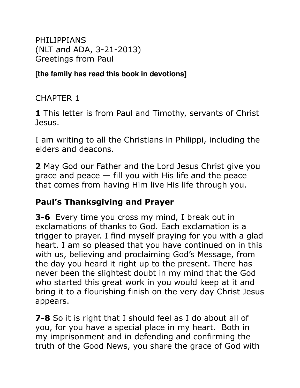PHILIPPIANS (NLT and ADA, 3-21-2013) Greetings from Paul

**[the family has read this book in devotions]**

CHAPTER 1

**1** This letter is from Paul and Timothy, servants of Christ Jesus.

I am writing to all the Christians in Philippi, including the elders and deacons.

**2** May God our Father and the Lord Jesus Christ give you grace and peace  $-$  fill you with His life and the peace that comes from having Him live His life through you.

### **Paul's Thanksgiving and Prayer**

**3-6** Every time you cross my mind, I break out in exclamations of thanks to God. Each exclamation is a trigger to prayer. I find myself praying for you with a glad heart. I am so pleased that you have continued on in this with us, believing and proclaiming God's Message, from the day you heard it right up to the present. There has never been the slightest doubt in my mind that the God who started this great work in you would keep at it and bring it to a flourishing finish on the very day Christ Jesus appears.

**7-8** So it is right that I should feel as I do about all of you, for you have a special place in my heart. Both in my imprisonment and in defending and confirming the truth of the Good News, you share the grace of God with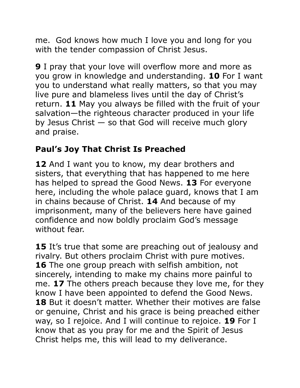me.God knows how much I love you and long for you with the tender compassion of Christ Jesus.

**9** I pray that your love will overflow more and more as you grow in knowledge and understanding. **10** For I want you to understand what really matters, so that you may live pure and blameless lives until the day of Christ's return. **11** May you always be filled with the fruit of your salvation—the righteous character produced in your life by Jesus Christ — so that God will receive much glory and praise.

## **Paul's Joy That Christ Is Preached**

**12** And I want you to know, my dear brothers and sisters, that everything that has happened to me here has helped to spread the Good News. **13** For everyone here, including the whole palace guard, knows that I am in chains because of Christ. **14** And because of my imprisonment, many of the believers here have gained confidence and now boldly proclaim God's message without fear.

**15** It's true that some are preaching out of jealousy and rivalry. But others proclaim Christ with pure motives. **16** The one group preach with selfish ambition, not sincerely, intending to make my chains more painful to me. **17** The others preach because they love me, for they know I have been appointed to defend the Good News. **18** But it doesn't matter. Whether their motives are false or genuine, Christ and his grace is being preached either way, so I rejoice. And I will continue to rejoice. **19** For I know that as you pray for me and the Spirit of Jesus Christ helps me, this will lead to my deliverance.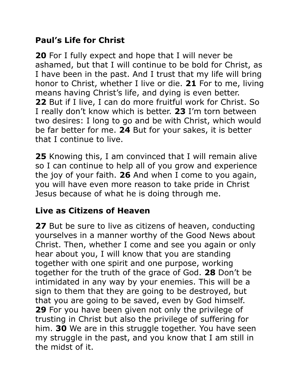## **Paul's Life for Christ**

**20** For I fully expect and hope that I will never be ashamed, but that I will continue to be bold for Christ, as I have been in the past. And I trust that my life will bring honor to Christ, whether I live or die. **21** For to me, living means having Christ's life, and dying is even better. **22** But if I live, I can do more fruitful work for Christ. So I really don't know which is better. **23** I'm torn between two desires: I long to go and be with Christ, which would be far better for me. **24** But for your sakes, it is better that I continue to live.

**25** Knowing this, I am convinced that I will remain alive so I can continue to help all of you grow and experience the joy of your faith. **26** And when I come to you again, you will have even more reason to take pride in Christ Jesus because of what he is doing through me.

## **Live as Citizens of Heaven**

**27** But be sure to live as citizens of heaven, conducting yourselves in a manner worthy of the Good News about Christ. Then, whether I come and see you again or only hear about you, I will know that you are standing together with one spirit and one purpose, working together for the truth of the grace of God. **28** Don't be intimidated in any way by your enemies. This will be a sign to them that they are going to be destroyed, but that you are going to be saved, even by God himself. **29** For you have been given not only the privilege of trusting in Christ but also the privilege of suffering for him. **30** We are in this struggle together. You have seen my struggle in the past, and you know that I am still in the midst of it.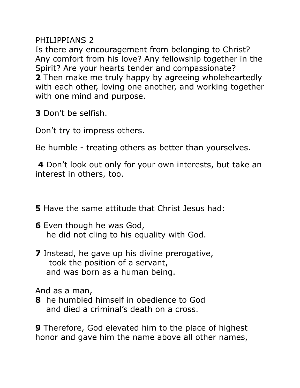PHILIPPIANS 2

Is there any encouragement from belonging to Christ? Any comfort from his love? Any fellowship together in the Spirit? Are your hearts tender and compassionate? **2** Then make me truly happy by agreeing wholeheartedly with each other, loving one another, and working together with one mind and purpose.

**3** Don't be selfish.

Don't try to impress others.

Be humble - treating others as better than yourselves.

**4** Don't look out only for your own interests, but take an interest in others, too.

**5** Have the same attitude that Christ Jesus had:

- **6** Even though he was God, he did not cling to his equality with God.
- **7** Instead, he gave up his divine prerogative, took the position of a servant, and was born as a human being.

And as a man,

**8** he humbled himself in obedience to God and died a criminal's death on a cross.

**9** Therefore, God elevated him to the place of highest honor and gave him the name above all other names,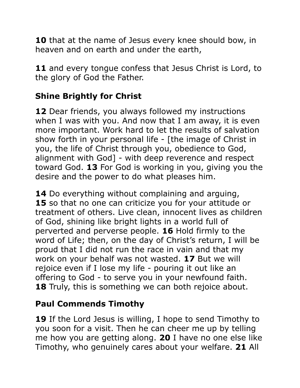**10** that at the name of Jesus every knee should bow, in heaven and on earth and under the earth,

**11** and every tongue confess that Jesus Christ is Lord, to the glory of God the Father.

# **Shine Brightly for Christ**

**12** Dear friends, you always followed my instructions when I was with you. And now that I am away, it is even more important. Work hard to let the results of salvation show forth in your personal life - [the image of Christ in you, the life of Christ through you, obedience to God, alignment with God] - with deep reverence and respect toward God. **13** For God is working in you, giving you the desire and the power to do what pleases him.

**14** Do everything without complaining and arguing, **15** so that no one can criticize you for your attitude or treatment of others. Live clean, innocent lives as children of God, shining like bright lights in a world full of perverted and perverse people. **16** Hold firmly to the word of Life; then, on the day of Christ's return, I will be proud that I did not run the race in vain and that my work on your behalf was not wasted. **17** But we will rejoice even if I lose my life - pouring it out like an offering to God - to serve you in your newfound faith. 18 Truly, this is something we can both rejoice about.

### **Paul Commends Timothy**

**19** If the Lord Jesus is willing, I hope to send Timothy to you soon for a visit. Then he can cheer me up by telling me how you are getting along. **20** I have no one else like Timothy, who genuinely cares about your welfare. **21** All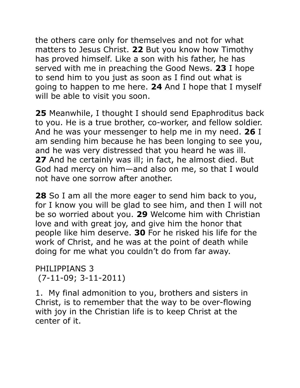the others care only for themselves and not for what matters to Jesus Christ. **22** But you know how Timothy has proved himself. Like a son with his father, he has served with me in preaching the Good News. **23** I hope to send him to you just as soon as I find out what is going to happen to me here. **24** And I hope that I myself will be able to visit you soon.

**25** Meanwhile, I thought I should send Epaphroditus back to you. He is a true brother, co-worker, and fellow soldier. And he was your messenger to help me in my need. **26** I am sending him because he has been longing to see you, and he was very distressed that you heard he was ill. **27** And he certainly was ill; in fact, he almost died. But God had mercy on him—and also on me, so that I would not have one sorrow after another.

**28** So I am all the more eager to send him back to you, for I know you will be glad to see him, and then I will not be so worried about you. **29** Welcome him with Christian love and with great joy, and give him the honor that people like him deserve. **30** For he risked his life for the work of Christ, and he was at the point of death while doing for me what you couldn't do from far away.

PHILIPPIANS 3 (7-11-09; 3-11-2011)

1. My final admonition to you, brothers and sisters in Christ, is to remember that the way to be over-flowing with joy in the Christian life is to keep Christ at the center of it.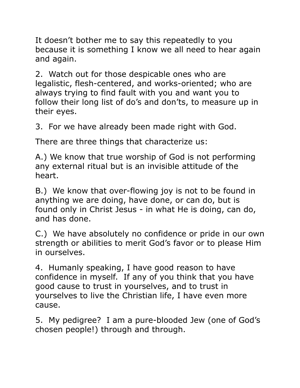It doesn't bother me to say this repeatedly to you because it is something I know we all need to hear again and again.

2. Watch out for those despicable ones who are legalistic, flesh-centered, and works-oriented; who are always trying to find fault with you and want you to follow their long list of do's and don'ts, to measure up in their eyes.

3. For we have already been made right with God.

There are three things that characterize us:

A.) We know that true worship of God is not performing any external ritual but is an invisible attitude of the heart.

B.) We know that over-flowing joy is not to be found in anything we are doing, have done, or can do, but is found only in Christ Jesus - in what He is doing, can do, and has done.

C.) We have absolutely no confidence or pride in our own strength or abilities to merit God's favor or to please Him in ourselves.

4. Humanly speaking, I have good reason to have confidence in myself. If any of you think that you have good cause to trust in yourselves, and to trust in yourselves to live the Christian life, I have even more cause.

5. My pedigree? I am a pure-blooded Jew (one of God's chosen people!) through and through.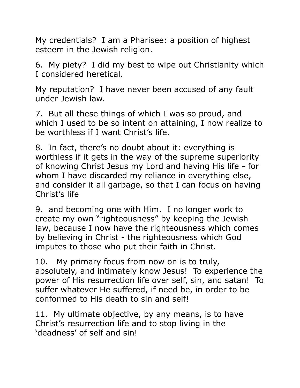My credentials? I am a Pharisee: a position of highest esteem in the Jewish religion.

6. My piety? I did my best to wipe out Christianity which I considered heretical.

My reputation? I have never been accused of any fault under Jewish law.

7. But all these things of which I was so proud, and which I used to be so intent on attaining, I now realize to be worthless if I want Christ's life.

8. In fact, there's no doubt about it: everything is worthless if it gets in the way of the supreme superiority of knowing Christ Jesus my Lord and having His life - for whom I have discarded my reliance in everything else, and consider it all garbage, so that I can focus on having Christ's life

9. and becoming one with Him. I no longer work to create my own "righteousness" by keeping the Jewish law, because I now have the righteousness which comes by believing in Christ - the righteousness which God imputes to those who put their faith in Christ.

10. My primary focus from now on is to truly, absolutely, and intimately know Jesus! To experience the power of His resurrection life over self, sin, and satan! To suffer whatever He suffered, if need be, in order to be conformed to His death to sin and self!

11. My ultimate objective, by any means, is to have Christ's resurrection life and to stop living in the 'deadness' of self and sin!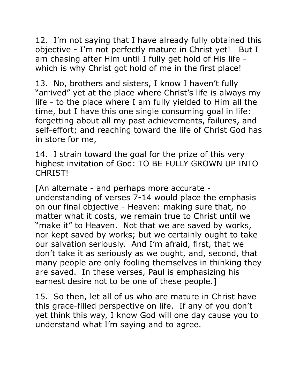12. I'm not saying that I have already fully obtained this objective - I'm not perfectly mature in Christ yet! But I am chasing after Him until I fully get hold of His life which is why Christ got hold of me in the first place!

13. No, brothers and sisters, I know I haven't fully "arrived" yet at the place where Christ's life is always my life - to the place where I am fully yielded to Him all the time, but I have this one single consuming goal in life: forgetting about all my past achievements, failures, and self-effort; and reaching toward the life of Christ God has in store for me,

14. I strain toward the goal for the prize of this very highest invitation of God: TO BE FULLY GROWN UP INTO CHRIST!

[An alternate - and perhaps more accurate understanding of verses 7-14 would place the emphasis on our final objective - Heaven: making sure that, no matter what it costs, we remain true to Christ until we "make it" to Heaven. Not that we are saved by works, nor kept saved by works; but we certainly ought to take our salvation seriously. And I'm afraid, first, that we don't take it as seriously as we ought, and, second, that many people are only fooling themselves in thinking they are saved. In these verses, Paul is emphasizing his earnest desire not to be one of these people.]

15. So then, let all of us who are mature in Christ have this grace-filled perspective on life. If any of you don't yet think this way, I know God will one day cause you to understand what I'm saying and to agree.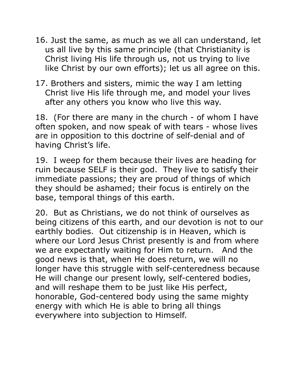- 16. Just the same, as much as we all can understand, let us all live by this same principle (that Christianity is Christ living His life through us, not us trying to live like Christ by our own efforts); let us all agree on this.
- 17. Brothers and sisters, mimic the way I am letting Christ live His life through me, and model your lives after any others you know who live this way.

18. (For there are many in the church - of whom I have often spoken, and now speak of with tears - whose lives are in opposition to this doctrine of self-denial and of having Christ's life.

19. I weep for them because their lives are heading for ruin because SELF is their god. They live to satisfy their immediate passions; they are proud of things of which they should be ashamed; their focus is entirely on the base, temporal things of this earth.

20. But as Christians, we do not think of ourselves as being citizens of this earth, and our devotion is not to our earthly bodies. Out citizenship is in Heaven, which is where our Lord Jesus Christ presently is and from where we are expectantly waiting for Him to return. And the good news is that, when He does return, we will no longer have this struggle with self-centeredness because He will change our present lowly, self-centered bodies, and will reshape them to be just like His perfect, honorable, God-centered body using the same mighty energy with which He is able to bring all things everywhere into subjection to Himself.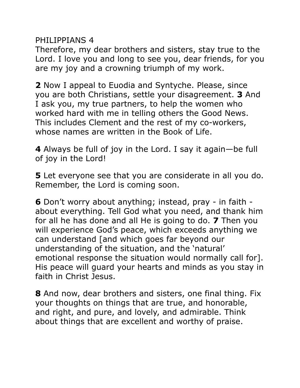PHILIPPIANS 4

Therefore, my dear brothers and sisters, stay true to the Lord. I love you and long to see you, dear friends, for you are my joy and a crowning triumph of my work.

**2** Now I appeal to Euodia and Syntyche. Please, since you are both Christians, settle your disagreement. **3** And I ask you, my true partners, to help the women who worked hard with me in telling others the Good News. This includes Clement and the rest of my co-workers, whose names are written in the Book of Life.

**4** Always be full of joy in the Lord. I say it again—be full of joy in the Lord!

**5** Let everyone see that you are considerate in all you do. Remember, the Lord is coming soon.

**6** Don't worry about anything; instead, pray - in faith about everything. Tell God what you need, and thank him for all he has done and all He is going to do. **7** Then you will experience God's peace, which exceeds anything we can understand [and which goes far beyond our understanding of the situation, and the 'natural' emotional response the situation would normally call for]. His peace will guard your hearts and minds as you stay in faith in Christ Jesus.

**8** And now, dear brothers and sisters, one final thing. Fix your thoughts on things that are true, and honorable, and right, and pure, and lovely, and admirable. Think about things that are excellent and worthy of praise.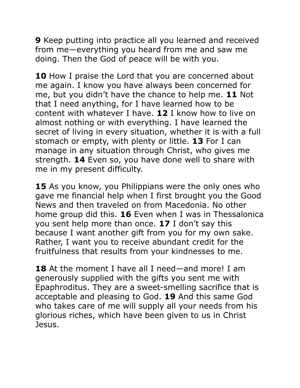**9** Keep putting into practice all you learned and received from me—everything you heard from me and saw me doing. Then the God of peace will be with you.

**10** How I praise the Lord that you are concerned about me again. I know you have always been concerned for me, but you didn't have the chance to help me. **11** Not that I need anything, for I have learned how to be content with whatever I have. **12** I know how to live on almost nothing or with everything. I have learned the secret of living in every situation, whether it is with a full stomach or empty, with plenty or little. **13** For I can manage in any situation through Christ, who gives me strength. **14** Even so, you have done well to share with me in my present difficulty.

**15** As you know, you Philippians were the only ones who gave me financial help when I first brought you the Good News and then traveled on from Macedonia. No other home group did this. **16** Even when I was in Thessalonica you sent help more than once. **17** I don't say this because I want another gift from you for my own sake. Rather, I want you to receive abundant credit for the fruitfulness that results from your kindnesses to me.

**18** At the moment I have all I need—and more! I am generously supplied with the gifts you sent me with Epaphroditus. They are a sweet-smelling sacrifice that is acceptable and pleasing to God. **19** And this same God who takes care of me will supply all your needs from his glorious riches, which have been given to us in Christ Jesus.